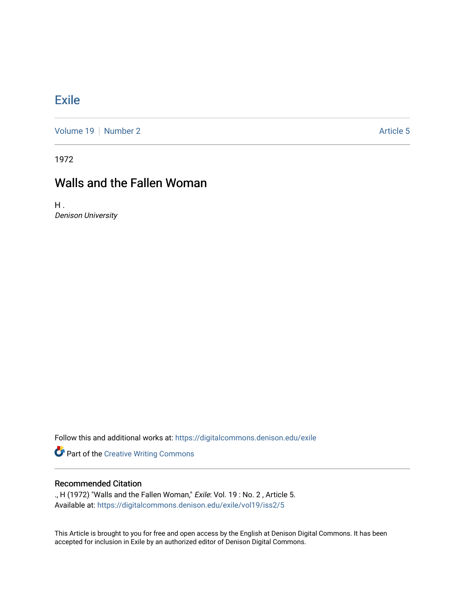## **[Exile](https://digitalcommons.denison.edu/exile)**

[Volume 19](https://digitalcommons.denison.edu/exile/vol19) [Number 2](https://digitalcommons.denison.edu/exile/vol19/iss2) Article 5

1972

## Walls and the Fallen Woman

 $H<sub>1</sub>$ Denison University

Follow this and additional works at: [https://digitalcommons.denison.edu/exile](https://digitalcommons.denison.edu/exile?utm_source=digitalcommons.denison.edu%2Fexile%2Fvol19%2Fiss2%2F5&utm_medium=PDF&utm_campaign=PDFCoverPages) 

Part of the [Creative Writing Commons](http://network.bepress.com/hgg/discipline/574?utm_source=digitalcommons.denison.edu%2Fexile%2Fvol19%2Fiss2%2F5&utm_medium=PDF&utm_campaign=PDFCoverPages) 

## Recommended Citation

., H (1972) "Walls and the Fallen Woman," Exile: Vol. 19: No. 2, Article 5. Available at: [https://digitalcommons.denison.edu/exile/vol19/iss2/5](https://digitalcommons.denison.edu/exile/vol19/iss2/5?utm_source=digitalcommons.denison.edu%2Fexile%2Fvol19%2Fiss2%2F5&utm_medium=PDF&utm_campaign=PDFCoverPages) 

This Article is brought to you for free and open access by the English at Denison Digital Commons. It has been accepted for inclusion in Exile by an authorized editor of Denison Digital Commons.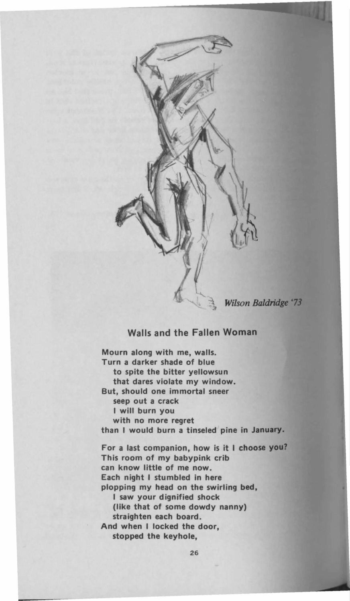

Wilson Baldridge '73

## Walls and the Fallen Woman

Mourn along with me, walls.<br>Turn a darker shade of blue to spite the bitter yellowsun that dares violate my window. But, should one immortal sneer seep out a crack I will burn you with no more regret Turn no more regret than I would burn a tinseled pine in **January.**  For a last companion, how is it I choose **you7**  can know little of me now. Each night I stumbled in here plopping my head on the swirling bed, I saw your dignified shock (like that of some dowdy nanny) straighten each board. And when I locked the door. And when I locked the door, stopped the keyhole,